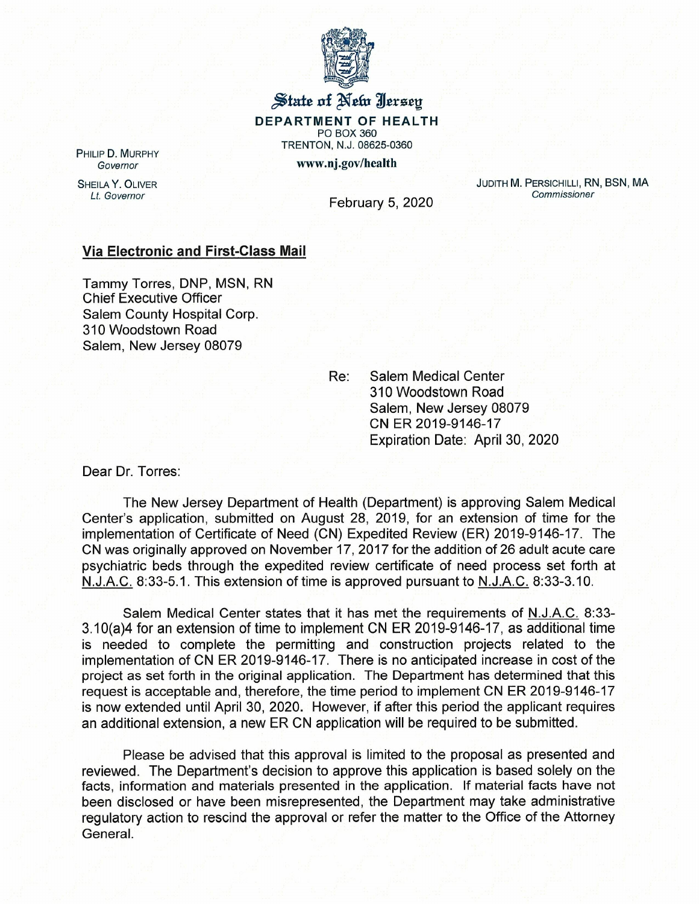

## State of New Jersey

DEPARTMENT OF HEALTH PO BOX 360 TRENTON, N.J. 08625-0360 www.nj.gov/health

PHILIP D. MURPHY *Governor*

SHEILA Y. OLIVER

JUDITH M. PERSICHILLI, RN, BSN, MA *Commissioner*

*Lt. Governor* February 5, 2020

## Via Electronic and First-Class Mail

Tammy Torres, DNP, MSN, RN Chief Executive Officer Salem County Hospital Corp. 310 Woodstown Road Salem, New Jersey 08079

Re: Salem Medical Center 310 Woodstown Road Salem, New Jersey 08079 CN ER 2019-9146-17 Expiration Date: April 30, 2020

Dear Dr. Torres:

The New Jersey Department of Health (Department) is approving Salem Medical Center's application, submitted on August 28, 2019, for an extension of time for the implementation of Certificate of Need (CN) Expedited Review (ER) 2019-9146-17. The CN was originally approved on November 17, 2017 for the addition of 26 adult acute care psychiatric beds through the expedited review certificate of need process set forth at N.J.A.C. 8:33-5.1. This extension of time is approved pursuant to N.J.A.C. 8:33-3.10.

Salem Medical Center states that it has met the requirements of N.J.A.C. 8:33- 3. 10(a)4 for an extension of time to implement CN ER 2019-9146-17, as additional time is needed to complete the permitting and construction projects related to the implementation of CN ER 2019-9146-17. There is no anticipated increase in cost of the project as set forth in the original application. The Department has determined that this request is acceptable and, therefore, the time period to implement CN ER 2019-9146-17 is now extended until April 30, 2020. However, if after this period the applicant requires an additional extension, a new ER CN application will be required to be submitted.

Please be advised that this approval is limited to the proposal as presented and reviewed. The Department's decision to approve this application is based solely on the facts, information and materials presented in the application. If material facts have not been disclosed or have been misrepresented, the Department may take administrative regulatory action to rescind the approval or refer the matter to the Office of the Attorney General.